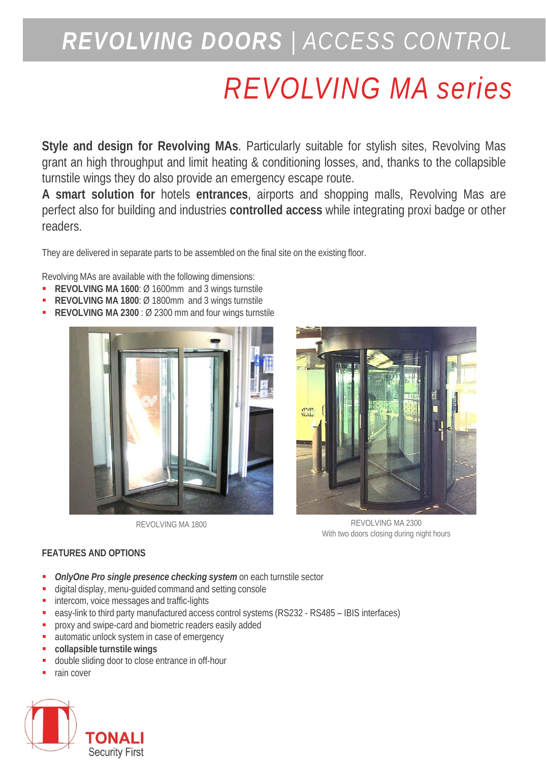## *REVOLVING DOORS | ACCESS CONTROL*

# *REVOLVING MA series*

**Style and design for Revolving MAs**. Particularly suitable for stylish sites, Revolving Mas grant an high throughput and limit heating & conditioning losses, and, thanks to the collapsible turnstile wings they do also provide an emergency escape route.

**A smart solution for** hotels **entrances**, airports and shopping malls, Revolving Mas are perfect also for building and industries **controlled access** while integrating proxi badge or other readers.

They are delivered in separate parts to be assembled on the final site on the existing floor.

Revolving MAs are available with the following dimensions:

- **REVOLVING MA 1600**: Ø 1600mm and 3 wings turnstile
- **REVOLVING MA 1800**: Ø 1800mm and 3 wings turnstile
- **REVOLVING MA 2300** : Ø 2300 mm and four wings turnstile





REVOLVING MA 1800 REVOLVING MA 2300 With two doors closing during night hours

### **FEATURES AND OPTIONS**

- *OnlyOne Pro single presence checking system* on each turnstile sector
- digital display, menu-guided command and setting console
- **intercom, voice messages and traffic-lights**
- easy-link to third party manufactured access control systems (RS232 RS485 IBIS interfaces)
- **P** proxy and swipe-card and biometric readers easily added
- automatic unlock system in case of emergency
- **collapsible turnstile wings**
- double sliding door to close entrance in off-hour
- rain cover